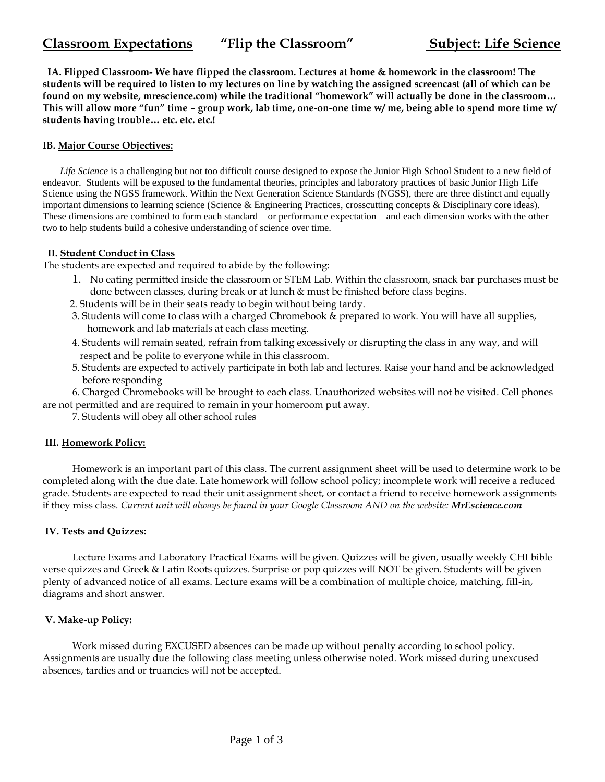# **Classroom Expectations "Flip the Classroom" Subject: Life Science**

**IA. Flipped Classroom- We have flipped the classroom. Lectures at home & homework in the classroom! The students will be required to listen to my lectures on line by watching the assigned screencast (all of which can be found on my website, mrescience.com) while the traditional "homework" will actually be done in the classroom… This will allow more "fun" time – group work, lab time, one-on-one time w/ me, being able to spend more time w/ students having trouble… etc. etc. etc.!** 

### **IB. Major Course Objectives:**

 *Life Science* is a challenging but not too difficult course designed to expose the Junior High School Student to a new field of endeavor. Students will be exposed to the fundamental theories, principles and laboratory practices of basic Junior High Life Science using the NGSS framework. Within the Next Generation Science Standards (NGSS), there are three distinct and equally important dimensions to learning science (Science & Engineering Practices, crosscutting concepts & Disciplinary core ideas). These dimensions are combined to form each standard—or performance expectation—and each dimension works with the other two to help students build a cohesive understanding of science over time.

#### **II. Student Conduct in Class**

The students are expected and required to abide by the following:

- 1. No eating permitted inside the classroom or STEM Lab. Within the classroom, snack bar purchases must be done between classes, during break or at lunch & must be finished before class begins.
- 2. Students will be in their seats ready to begin without being tardy.
- 3. Students will come to class with a charged Chromebook & prepared to work. You will have all supplies, homework and lab materials at each class meeting.
- 4. Students will remain seated, refrain from talking excessively or disrupting the class in any way, and will respect and be polite to everyone while in this classroom.
- 5. Students are expected to actively participate in both lab and lectures. Raise your hand and be acknowledged before responding

 6. Charged Chromebooks will be brought to each class. Unauthorized websites will not be visited. Cell phones are not permitted and are required to remain in your homeroom put away.

7. Students will obey all other school rules

## **III. Homework Policy:**

 Homework is an important part of this class. The current assignment sheet will be used to determine work to be completed along with the due date. Late homework will follow school policy; incomplete work will receive a reduced grade. Students are expected to read their unit assignment sheet, or contact a friend to receive homework assignments if they miss class. *Current unit will always be found in your Google Classroom AND on the website: MrEscience.com*

#### **IV. Tests and Quizzes:**

 Lecture Exams and Laboratory Practical Exams will be given. Quizzes will be given, usually weekly CHI bible verse quizzes and Greek & Latin Roots quizzes. Surprise or pop quizzes will NOT be given. Students will be given plenty of advanced notice of all exams. Lecture exams will be a combination of multiple choice, matching, fill-in, diagrams and short answer.

#### **V. Make-up Policy:**

 Work missed during EXCUSED absences can be made up without penalty according to school policy. Assignments are usually due the following class meeting unless otherwise noted. Work missed during unexcused absences, tardies and or truancies will not be accepted.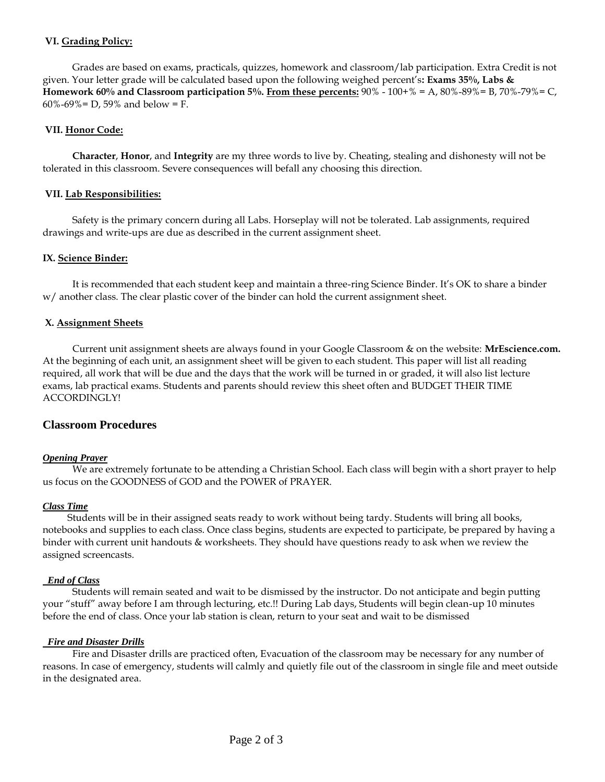## **VI. Grading Policy:**

 Grades are based on exams, practicals, quizzes, homework and classroom/lab participation. Extra Credit is not given. Your letter grade will be calculated based upon the following weighed percent's**: Exams 35%, Labs & Homework 60% and Classroom participation 5%. From these percents:** 90% - 100+% = A, 80%-89%= B, 70%-79%= C, 60%-69% = D, 59% and below = F.

#### **VII. Honor Code:**

 **Character**, **Honor**, and **Integrity** are my three words to live by. Cheating, stealing and dishonesty will not be tolerated in this classroom. Severe consequences will befall any choosing this direction.

#### **VII. Lab Responsibilities:**

 Safety is the primary concern during all Labs. Horseplay will not be tolerated. Lab assignments, required drawings and write-ups are due as described in the current assignment sheet.

#### **IX. Science Binder:**

 It is recommended that each student keep and maintain a three-ring Science Binder. It's OK to share a binder w/ another class. The clear plastic cover of the binder can hold the current assignment sheet.

#### **X. Assignment Sheets**

 Current unit assignment sheets are always found in your Google Classroom & on the website: **MrEscience.com.** At the beginning of each unit, an assignment sheet will be given to each student. This paper will list all reading required, all work that will be due and the days that the work will be turned in or graded, it will also list lecture exams, lab practical exams. Students and parents should review this sheet often and BUDGET THEIR TIME ACCORDINGLY!

## **Classroom Procedures**

#### *Opening Prayer*

 We are extremely fortunate to be attending a Christian School. Each class will begin with a short prayer to help us focus on the GOODNESS of GOD and the POWER of PRAYER.

#### *Class Time*

 Students will be in their assigned seats ready to work without being tardy. Students will bring all books, notebooks and supplies to each class. Once class begins, students are expected to participate, be prepared by having a binder with current unit handouts & worksheets. They should have questions ready to ask when we review the assigned screencasts.

#### *End of Class*

 Students will remain seated and wait to be dismissed by the instructor. Do not anticipate and begin putting your "stuff" away before I am through lecturing, etc.!! During Lab days, Students will begin clean-up 10 minutes before the end of class. Once your lab station is clean, return to your seat and wait to be dismissed

#### *Fire and Disaster Drills*

 Fire and Disaster drills are practiced often, Evacuation of the classroom may be necessary for any number of reasons. In case of emergency, students will calmly and quietly file out of the classroom in single file and meet outside in the designated area.